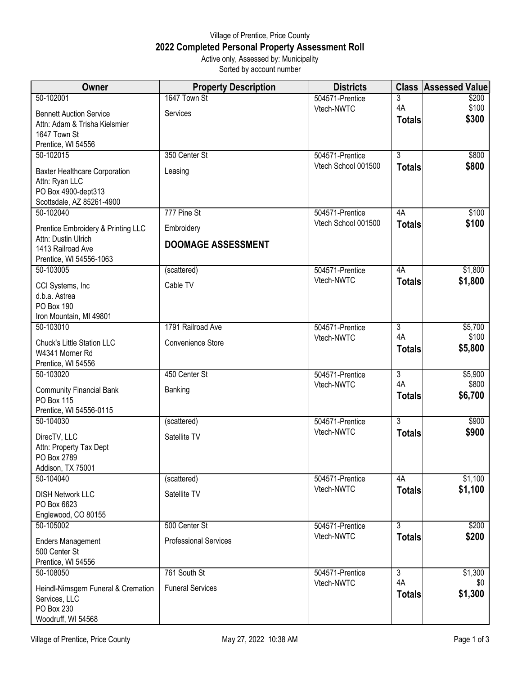## Village of Prentice, Price County **2022 Completed Personal Property Assessment Roll** Active only, Assessed by: Municipality

Sorted by account number

| Owner                                    | <b>Property Description</b>  | <b>Districts</b>              |                | <b>Class Assessed Value</b> |
|------------------------------------------|------------------------------|-------------------------------|----------------|-----------------------------|
| 50-102001                                | 1647 Town St                 | 504571-Prentice               | 3              | \$200                       |
| <b>Bennett Auction Service</b>           | Services                     | Vtech-NWTC                    | 4A             | \$100                       |
| Attn: Adam & Trisha Kielsmier            |                              |                               | <b>Totals</b>  | \$300                       |
| 1647 Town St                             |                              |                               |                |                             |
| Prentice, WI 54556                       |                              |                               |                |                             |
| 50-102015                                | 350 Center St                | 504571-Prentice               | $\overline{3}$ | \$800                       |
| <b>Baxter Healthcare Corporation</b>     | Leasing                      | Vtech School 001500           | <b>Totals</b>  | \$800                       |
| Attn: Ryan LLC<br>PO Box 4900-dept313    |                              |                               |                |                             |
| Scottsdale, AZ 85261-4900                |                              |                               |                |                             |
| 50-102040                                | 777 Pine St                  | 504571-Prentice               | 4A             | \$100                       |
|                                          |                              | Vtech School 001500           | <b>Totals</b>  | \$100                       |
| Prentice Embroidery & Printing LLC       | Embroidery                   |                               |                |                             |
| Attn: Dustin Ulrich<br>1413 Railroad Ave | <b>DOOMAGE ASSESSMENT</b>    |                               |                |                             |
| Prentice, WI 54556-1063                  |                              |                               |                |                             |
| 50-103005                                | (scattered)                  | 504571-Prentice               | 4A             | \$1,800                     |
|                                          |                              | Vtech-NWTC                    | <b>Totals</b>  | \$1,800                     |
| CCI Systems, Inc                         | Cable TV                     |                               |                |                             |
| d.b.a. Astrea                            |                              |                               |                |                             |
| <b>PO Box 190</b>                        |                              |                               |                |                             |
| Iron Mountain, MI 49801                  | 1791 Railroad Ave            |                               | $\overline{3}$ | \$5,700                     |
| 50-103010                                |                              | 504571-Prentice<br>Vtech-NWTC | 4A             | \$100                       |
| Chuck's Little Station LLC               | Convenience Store            |                               | <b>Totals</b>  | \$5,800                     |
| W4341 Morner Rd                          |                              |                               |                |                             |
| Prentice, WI 54556                       |                              |                               |                |                             |
| 50-103020                                | 450 Center St                | 504571-Prentice               | دى             | \$5,900                     |
| <b>Community Financial Bank</b>          | Banking                      | Vtech-NWTC                    | 4A             | \$800                       |
| PO Box 115                               |                              |                               | <b>Totals</b>  | \$6,700                     |
| Prentice, WI 54556-0115                  |                              |                               |                |                             |
| 50-104030                                | (scattered)                  | 504571-Prentice               | $\overline{3}$ | \$900                       |
| DirecTV, LLC                             | Satellite TV                 | Vtech-NWTC                    | <b>Totals</b>  | \$900                       |
| Attn: Property Tax Dept                  |                              |                               |                |                             |
| PO Box 2789                              |                              |                               |                |                             |
| Addison, TX 75001                        |                              |                               |                |                             |
| 50-104040                                | (scattered)                  | 504571-Prentice               | 4A             | \$1,100                     |
| <b>DISH Network LLC</b>                  | Satellite TV                 | Vtech-NWTC                    | <b>Totals</b>  | \$1,100                     |
| PO Box 6623                              |                              |                               |                |                             |
| Englewood, CO 80155                      |                              |                               |                |                             |
| 50-105002                                | 500 Center St                | 504571-Prentice               | 3              | \$200                       |
| <b>Enders Management</b>                 | <b>Professional Services</b> | Vtech-NWTC                    | <b>Totals</b>  | \$200                       |
| 500 Center St                            |                              |                               |                |                             |
| Prentice, WI 54556                       |                              |                               |                |                             |
| 50-108050                                | 761 South St                 | 504571-Prentice               | $\overline{3}$ | \$1,300                     |
|                                          |                              | Vtech-NWTC                    | 4A             | \$0                         |
| Heindl-Nimsgern Funeral & Cremation      | <b>Funeral Services</b>      |                               | <b>Totals</b>  | \$1,300                     |
| Services, LLC<br>PO Box 230              |                              |                               |                |                             |
| Woodruff, WI 54568                       |                              |                               |                |                             |
|                                          |                              |                               |                |                             |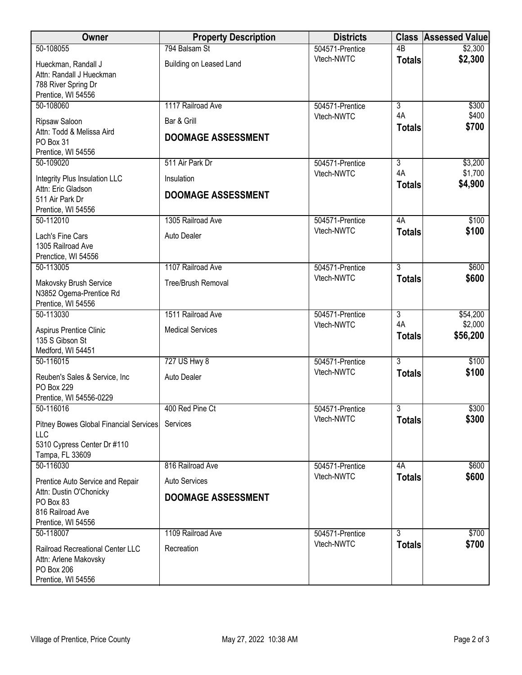| Owner                                                                                         | <b>Property Description</b>              | <b>Districts</b> |                     | <b>Class Assessed Value</b> |
|-----------------------------------------------------------------------------------------------|------------------------------------------|------------------|---------------------|-----------------------------|
| 50-108055                                                                                     | 794 Balsam St                            | 504571-Prentice  | $\overline{AB}$     | \$2,300                     |
| Hueckman, Randall J<br>Attn: Randall J Hueckman<br>788 River Spring Dr<br>Prentice, WI 54556  | Building on Leased Land                  | Vtech-NWTC       | <b>Totals</b>       | \$2,300                     |
| 50-108060                                                                                     | 1117 Railroad Ave                        | 504571-Prentice  | $\overline{3}$      | \$300                       |
| Ripsaw Saloon<br>Attn: Todd & Melissa Aird<br>PO Box 31<br>Prentice, WI 54556                 | Bar & Grill<br><b>DOOMAGE ASSESSMENT</b> | Vtech-NWTC       | 4A<br><b>Totals</b> | \$400<br>\$700              |
| 50-109020                                                                                     | 511 Air Park Dr                          | 504571-Prentice  | $\overline{3}$      | \$3,200                     |
| Integrity Plus Insulation LLC<br>Attn: Eric Gladson                                           | Insulation                               | Vtech-NWTC       | 4A<br><b>Totals</b> | \$1,700<br>\$4,900          |
| 511 Air Park Dr<br>Prentice, WI 54556                                                         | <b>DOOMAGE ASSESSMENT</b>                |                  |                     |                             |
| 50-112010                                                                                     | 1305 Railroad Ave                        | 504571-Prentice  | 4A                  | \$100                       |
| Lach's Fine Cars<br>1305 Railroad Ave<br>Prenctice, WI 54556                                  | <b>Auto Dealer</b>                       | Vtech-NWTC       | <b>Totals</b>       | \$100                       |
| 50-113005                                                                                     | 1107 Railroad Ave                        | 504571-Prentice  | $\overline{3}$      | \$600                       |
| Makovsky Brush Service<br>N3852 Ogema-Prentice Rd<br>Prentice, WI 54556                       | Tree/Brush Removal                       | Vtech-NWTC       | <b>Totals</b>       | \$600                       |
| 50-113030                                                                                     | 1511 Railroad Ave                        | 504571-Prentice  | $\overline{3}$      | \$54,200                    |
| Aspirus Prentice Clinic<br>135 S Gibson St<br>Medford, WI 54451                               | <b>Medical Services</b>                  | Vtech-NWTC       | 4A<br><b>Totals</b> | \$2,000<br>\$56,200         |
| 50-116015                                                                                     | 727 US Hwy 8                             | 504571-Prentice  | $\overline{3}$      | \$100                       |
| Reuben's Sales & Service, Inc.<br>PO Box 229<br>Prentice, WI 54556-0229                       | <b>Auto Dealer</b>                       | Vtech-NWTC       | <b>Totals</b>       | \$100                       |
| 50-116016                                                                                     | 400 Red Pine Ct                          | 504571-Prentice  | $\overline{3}$      | \$300                       |
| Pitney Bowes Global Financial Services<br>LLC                                                 | Services                                 | Vtech-NWTC       | <b>Totals</b>       | \$300                       |
| 5310 Cypress Center Dr #110<br>Tampa, FL 33609                                                |                                          |                  |                     |                             |
| 50-116030                                                                                     | 816 Railroad Ave                         | 504571-Prentice  | 4A                  | \$600                       |
| Prentice Auto Service and Repair                                                              | <b>Auto Services</b>                     | Vtech-NWTC       | <b>Totals</b>       | \$600                       |
| Attn: Dustin O'Chonicky<br>PO Box 83<br>816 Railroad Ave<br>Prentice, WI 54556                | <b>DOOMAGE ASSESSMENT</b>                |                  |                     |                             |
| 50-118007                                                                                     | 1109 Railroad Ave                        | 504571-Prentice  | 3                   | \$700                       |
| Railroad Recreational Center LLC<br>Attn: Arlene Makovsky<br>PO Box 206<br>Prentice, WI 54556 | Recreation                               | Vtech-NWTC       | <b>Totals</b>       | \$700                       |